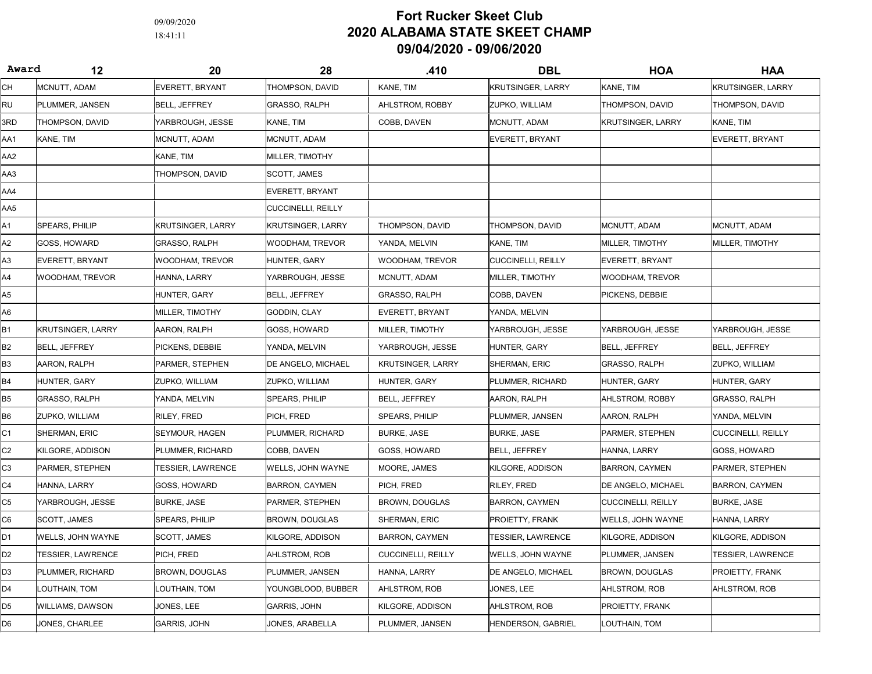09/09/2020

## 18:41:11 2020 ALABAMA STATE SKEET CHAMP 09/04/2020 - 09/06/2020 Fort Rucker Skeet Club

| Award          | 12                       | 20                              | 28                    | .410                      | <b>DBL</b>                | <b>HOA</b>                | HAA                      |
|----------------|--------------------------|---------------------------------|-----------------------|---------------------------|---------------------------|---------------------------|--------------------------|
| CН             | MCNUTT, ADAM             | EVERETT, BRYANT                 | THOMPSON, DAVID       | KANE, TIM                 | <b>KRUTSINGER, LARRY</b>  | KANE, TIM                 | <b>KRUTSINGER, LARRY</b> |
| RU             | PLUMMER, JANSEN          | <b>BELL, JEFFREY</b>            | GRASSO, RALPH         | AHLSTROM, ROBBY           | ZUPKO, WILLIAM            | THOMPSON, DAVID           | THOMPSON, DAVID          |
| 3RD            | THOMPSON, DAVID          | YARBROUGH, JESSE                | KANE, TIM             | COBB, DAVEN               | MCNUTT, ADAM              | KRUTSINGER, LARRY         | KANE, TIM                |
| AA1            | KANE, TIM                | MCNUTT, ADAM                    | MCNUTT, ADAM          |                           | <b>EVERETT, BRYANT</b>    |                           | <b>EVERETT, BRYANT</b>   |
| AA2            |                          | KANE, TIM                       | MILLER, TIMOTHY       |                           |                           |                           |                          |
| AA3            |                          | THOMPSON, DAVID                 | SCOTT, JAMES          |                           |                           |                           |                          |
| AA4            |                          |                                 | EVERETT, BRYANT       |                           |                           |                           |                          |
| AA5            |                          |                                 | CUCCINELLI, REILLY    |                           |                           |                           |                          |
| Α1             | SPEARS, PHILIP           | <b>KRUTSINGER, LARRY</b>        | KRUTSINGER, LARRY     | THOMPSON, DAVID           | THOMPSON, DAVID           | MCNUTT, ADAM              | MCNUTT, ADAM             |
| A2             | GOSS, HOWARD             | GRASSO, RALPH                   | WOODHAM, TREVOR       | YANDA, MELVIN             | KANE, TIM                 | MILLER, TIMOTHY           | <b>MILLER, TIMOTHY</b>   |
| A3             | <b>EVERETT, BRYANT</b>   | WOODHAM, TREVOR                 | HUNTER, GARY          | <b>WOODHAM, TREVOR</b>    | <b>CUCCINELLI, REILLY</b> | <b>EVERETT, BRYANT</b>    |                          |
| A4             | WOODHAM, TREVOR          | HANNA, LARRY                    | YARBROUGH, JESSE      | MCNUTT, ADAM              | <b>MILLER, TIMOTHY</b>    | WOODHAM. TREVOR           |                          |
| A5             |                          | HUNTER, GARY                    | <b>BELL, JEFFREY</b>  | <b>GRASSO, RALPH</b>      | COBB, DAVEN               | PICKENS, DEBBIE           |                          |
| A6             |                          | MILLER, TIMOTHY                 | GODDIN, CLAY          | EVERETT, BRYANT           | YANDA, MELVIN             |                           |                          |
| <b>B1</b>      | KRUTSINGER, LARRY        | AARON, RALPH                    | GOSS, HOWARD          | MILLER, TIMOTHY           | YARBROUGH, JESSE          | YARBROUGH, JESSE          | YARBROUGH, JESSE         |
| <b>B2</b>      | <b>BELL, JEFFREY</b>     | PICKENS, DEBBIE                 | YANDA, MELVIN         | YARBROUGH, JESSE          | HUNTER, GARY              | <b>BELL, JEFFREY</b>      | BELL, JEFFREY            |
| B3             | AARON, RALPH             | PARMER, STEPHEN                 | DE ANGELO, MICHAEL    | <b>KRUTSINGER, LARRY</b>  | <b>SHERMAN, ERIC</b>      | <b>GRASSO, RALPH</b>      | ZUPKO, WILLIAM           |
| <b>B4</b>      | HUNTER, GARY             | ZUPKO, WILLIAM                  | ZUPKO, WILLIAM        | HUNTER, GARY              | PLUMMER, RICHARD          | HUNTER, GARY              | HUNTER, GARY             |
| B <sub>5</sub> | <b>GRASSO, RALPH</b>     | YANDA, MELVIN                   | SPEARS, PHILIP        | <b>BELL, JEFFREY</b>      | AARON, RALPH              | AHLSTROM, ROBBY           | <b>GRASSO, RALPH</b>     |
| B <sub>6</sub> | ZUPKO, WILLIAM           | RILEY, FRED                     | PICH, FRED            | SPEARS, PHILIP            | PLUMMER, JANSEN           | AARON, RALPH              | YANDA, MELVIN            |
| C1             | SHERMAN, ERIC            | SEYMOUR, HAGEN                  | PLUMMER, RICHARD      | <b>BURKE, JASE</b>        | <b>BURKE, JASE</b>        | PARMER, STEPHEN           | CUCCINELLI, REILLY       |
| C <sub>2</sub> | KILGORE, ADDISON         | PLUMMER, RICHARD                | COBB, DAVEN           | GOSS, HOWARD              | <b>BELL, JEFFREY</b>      | HANNA, LARRY              | GOSS, HOWARD             |
| C <sub>3</sub> | PARMER, STEPHEN          | <b><i>TESSIER, LAWRENCE</i></b> | WELLS, JOHN WAYNE     | MOORE, JAMES              | KILGORE, ADDISON          | <b>BARRON, CAYMEN</b>     | PARMER, STEPHEN          |
| C <sub>4</sub> | HANNA, LARRY             | GOSS, HOWARD                    | <b>BARRON, CAYMEN</b> | PICH, FRED                | RILEY, FRED               | DE ANGELO, MICHAEL        | <b>BARRON, CAYMEN</b>    |
| C5             | YARBROUGH, JESSE         | <b>BURKE, JASE</b>              | PARMER, STEPHEN       | BROWN, DOUGLAS            | <b>BARRON, CAYMEN</b>     | <b>CUCCINELLI, REILLY</b> | BURKE, JASE              |
| C <sub>6</sub> | SCOTT, JAMES             | SPEARS, PHILIP                  | <b>BROWN, DOUGLAS</b> | <b>SHERMAN, ERIC</b>      | <b>PROIETTY, FRANK</b>    | WELLS, JOHN WAYNE         | HANNA, LARRY             |
| D <sub>1</sub> | WELLS, JOHN WAYNE        | SCOTT, JAMES                    | KILGORE, ADDISON      | <b>BARRON, CAYMEN</b>     | TESSIER, LAWRENCE         | KILGORE, ADDISON          | KILGORE, ADDISON         |
| D <sub>2</sub> | <b>TESSIER, LAWRENCE</b> | PICH, FRED                      | AHLSTROM, ROB         | <b>CUCCINELLI, REILLY</b> | WELLS, JOHN WAYNE         | PLUMMER, JANSEN           | TESSIER, LAWRENCE        |
| D <sub>3</sub> | PLUMMER, RICHARD         | <b>BROWN, DOUGLAS</b>           | PLUMMER, JANSEN       | HANNA, LARRY              | <b>DE ANGELO, MICHAEL</b> | <b>BROWN, DOUGLAS</b>     | PROIETTY, FRANK          |
| D <sub>4</sub> | LOUTHAIN, TOM            | LOUTHAIN, TOM                   | YOUNGBLOOD. BUBBER    | AHLSTROM, ROB             | JONES, LEE                | AHLSTROM, ROB             | AHLSTROM, ROB            |
| D <sub>5</sub> | WILLIAMS, DAWSON         | JONES, LEE                      | GARRIS, JOHN          | KILGORE, ADDISON          | AHLSTROM, ROB             | PROIETTY, FRANK           |                          |
| D <sub>6</sub> | JONES, CHARLEE           | <b>GARRIS, JOHN</b>             | JONES, ARABELLA       | PLUMMER, JANSEN           | <b>HENDERSON, GABRIEL</b> | LOUTHAIN, TOM             |                          |
|                |                          |                                 |                       |                           |                           |                           |                          |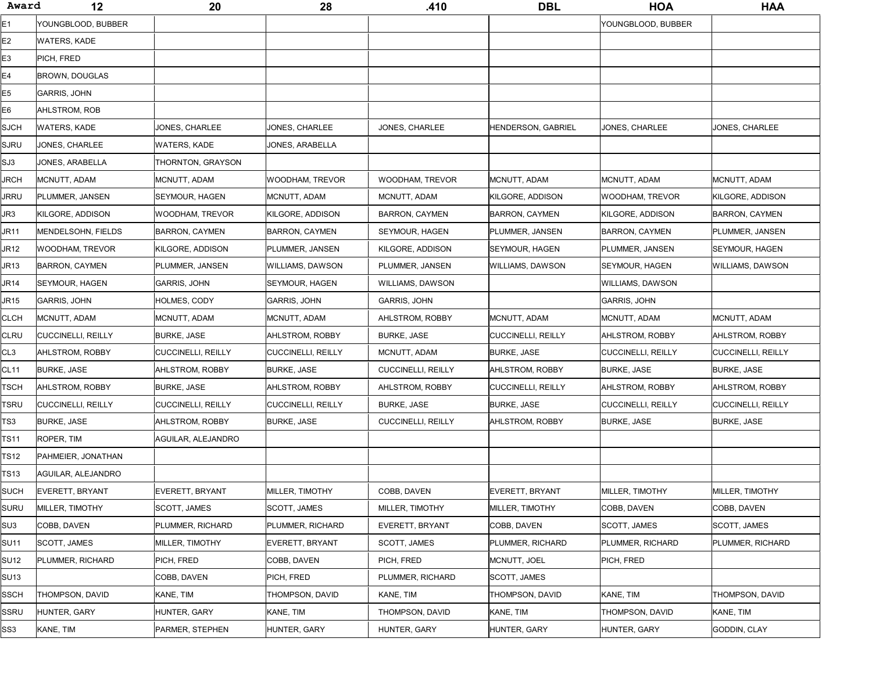| Award       | 12                        | 20                        | 28                    | .410                      | <b>DBL</b>                | <b>HOA</b>                | <b>HAA</b>            |
|-------------|---------------------------|---------------------------|-----------------------|---------------------------|---------------------------|---------------------------|-----------------------|
| Ε1          | YOUNGBLOOD, BUBBER        |                           |                       |                           |                           | YOUNGBLOOD, BUBBER        |                       |
| Ε2          | WATERS, KADE              |                           |                       |                           |                           |                           |                       |
| E3          | PICH, FRED                |                           |                       |                           |                           |                           |                       |
| E4          | BROWN, DOUGLAS            |                           |                       |                           |                           |                           |                       |
| E5          | <b>GARRIS, JOHN</b>       |                           |                       |                           |                           |                           |                       |
| Е6          | AHLSTROM, ROB             |                           |                       |                           |                           |                           |                       |
| SJCH        | WATERS, KADE              | JONES, CHARLEE            | JONES, CHARLEE        | JONES, CHARLEE            | HENDERSON, GABRIEL        | JONES, CHARLEE            | JONES, CHARLEE        |
| SJRU        | JONES, CHARLEE            | <b>WATERS, KADE</b>       | JONES, ARABELLA       |                           |                           |                           |                       |
| SJ3         | JONES, ARABELLA           | THORNTON, GRAYSON         |                       |                           |                           |                           |                       |
| JRCH        | MCNUTT, ADAM              | MCNUTT, ADAM              | WOODHAM, TREVOR       | WOODHAM, TREVOR           | MCNUTT, ADAM              | MCNUTT, ADAM              | MCNUTT, ADAM          |
| JRRU        | PLUMMER, JANSEN           | <b>SEYMOUR, HAGEN</b>     | MCNUTT, ADAM          | MCNUTT, ADAM              | <b>KILGORE, ADDISON</b>   | WOODHAM, TREVOR           | KILGORE, ADDISON      |
| JR3         | KILGORE, ADDISON          | WOODHAM, TREVOR           | KILGORE, ADDISON      | <b>BARRON, CAYMEN</b>     | <b>BARRON, CAYMEN</b>     | KILGORE, ADDISON          | <b>BARRON, CAYMEN</b> |
| JR11        | <b>MENDELSOHN, FIELDS</b> | <b>BARRON, CAYMEN</b>     | <b>BARRON, CAYMEN</b> | <b>SEYMOUR, HAGEN</b>     | PLUMMER, JANSEN           | <b>BARRON, CAYMEN</b>     | PLUMMER, JANSEN       |
| JR12        | WOODHAM, TREVOR           | KILGORE, ADDISON          | PLUMMER, JANSEN       | KILGORE, ADDISON          | <b>SEYMOUR, HAGEN</b>     | PLUMMER, JANSEN           | SEYMOUR, HAGEN        |
| JR13        | <b>BARRON, CAYMEN</b>     | PLUMMER, JANSEN           | WILLIAMS, DAWSON      | PLUMMER, JANSEN           | WILLIAMS, DAWSON          | SEYMOUR, HAGEN            | WILLIAMS, DAWSON      |
| JR14        | SEYMOUR, HAGEN            | <b>GARRIS, JOHN</b>       | SEYMOUR, HAGEN        | <b>WILLIAMS, DAWSON</b>   |                           | <b>WILLIAMS, DAWSON</b>   |                       |
| JR15        | <b>GARRIS, JOHN</b>       | HOLMES, CODY              | GARRIS, JOHN          | <b>GARRIS, JOHN</b>       |                           | <b>GARRIS, JOHN</b>       |                       |
| CLCH        | MCNUTT, ADAM              | MCNUTT, ADAM              | MCNUTT, ADAM          | AHLSTROM, ROBBY           | MCNUTT, ADAM              | MCNUTT, ADAM              | MCNUTT, ADAM          |
| CLRU        | CUCCINELLI, REILLY        | <b>BURKE, JASE</b>        | AHLSTROM, ROBBY       | <b>BURKE, JASE</b>        | <b>CUCCINELLI, REILLY</b> | AHLSTROM, ROBBY           | AHLSTROM, ROBBY       |
| CL3         | AHLSTROM, ROBBY           | <b>CUCCINELLI, REILLY</b> | CUCCINELLI, REILLY    | MCNUTT, ADAM              | <b>BURKE, JASE</b>        | <b>CUCCINELLI, REILLY</b> | CUCCINELLI, REILLY    |
| CL11        | <b>BURKE, JASE</b>        | AHLSTROM, ROBBY           | <b>BURKE, JASE</b>    | <b>CUCCINELLI, REILLY</b> | AHLSTROM, ROBBY           | <b>BURKE, JASE</b>        | <b>BURKE, JASE</b>    |
| TSCH        | AHLSTROM, ROBBY           | BURKE, JASE               | AHLSTROM, ROBBY       | AHLSTROM, ROBBY           | <b>CUCCINELLI, REILLY</b> | AHLSTROM, ROBBY           | AHLSTROM, ROBBY       |
| tsru        | <b>CUCCINELLI, REILLY</b> | <b>CUCCINELLI, REILLY</b> | CUCCINELLI, REILLY    | BURKE, JASE               | <b>BURKE, JASE</b>        | <b>CUCCINELLI, REILLY</b> | CUCCINELLI, REILLY    |
| TS3         | <b>BURKE, JASE</b>        | AHLSTROM, ROBBY           | <b>BURKE, JASE</b>    | <b>CUCCINELLI, REILLY</b> | AHLSTROM, ROBBY           | <b>BURKE, JASE</b>        | <b>BURKE, JASE</b>    |
| TS11        | ROPER, TIM                | AGUILAR, ALEJANDRO        |                       |                           |                           |                           |                       |
| TS12        | PAHMEIER, JONATHAN        |                           |                       |                           |                           |                           |                       |
| TS13        | AGUILAR, ALEJANDRO        |                           |                       |                           |                           |                           |                       |
| SUCH        | EVERETT, BRYANT           | EVERETT, BRYANT           | MILLER, TIMOTHY       | COBB, DAVEN               | <b>EVERETT, BRYANT</b>    | MILLER, TIMOTHY           | MILLER, TIMOTHY       |
| SURU        | MILLER, TIMOTHY           | SCOTT, JAMES              | SCOTT, JAMES          | MILLER, TIMOTHY           | MILLER, TIMOTHY           | COBB, DAVEN               | COBB, DAVEN           |
| SU3         | COBB, DAVEN               | PLUMMER, RICHARD          | PLUMMER, RICHARD      | EVERETT, BRYANT           | COBB, DAVEN               | SCOTT, JAMES              | SCOTT, JAMES          |
| <b>SU11</b> | <b>SCOTT, JAMES</b>       | MILLER, TIMOTHY           | EVERETT, BRYANT       | <b>SCOTT, JAMES</b>       | PLUMMER, RICHARD          | PLUMMER, RICHARD          | PLUMMER, RICHARD      |
| SU12        | PLUMMER, RICHARD          | PICH, FRED                | COBB, DAVEN           | PICH. FRED                | MCNUTT, JOEL              | PICH, FRED                |                       |
| SU13        |                           | COBB, DAVEN               | PICH, FRED            | PLUMMER, RICHARD          | <b>SCOTT, JAMES</b>       |                           |                       |
| SSCH        | THOMPSON, DAVID           | KANE, TIM                 | THOMPSON, DAVID       | KANE, TIM                 | THOMPSON, DAVID           | KANE, TIM                 | THOMPSON, DAVID       |
| SSRU        | <b>HUNTER, GARY</b>       | HUNTER, GARY              | KANE, TIM             | THOMPSON, DAVID           | KANE, TIM                 | THOMPSON, DAVID           | KANE, TIM             |
| SS3         | KANE, TIM                 | PARMER, STEPHEN           | HUNTER, GARY          | HUNTER, GARY              | HUNTER, GARY              | HUNTER, GARY              | GODDIN, CLAY          |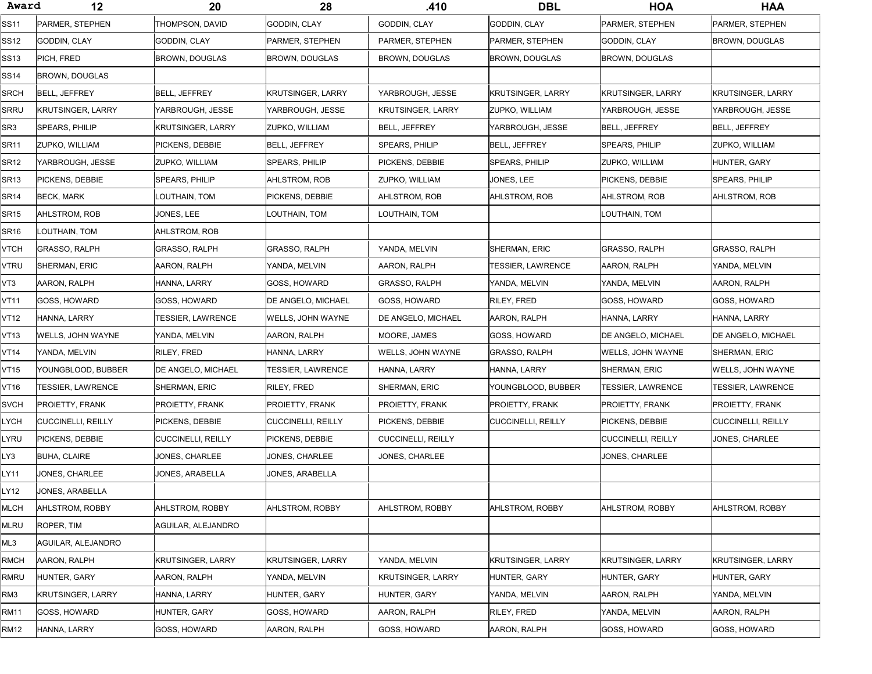| Award            | 12                        | 20                        | 28                        | .410                     | <b>DBL</b>                | <b>HOA</b>               | <b>HAA</b>                |
|------------------|---------------------------|---------------------------|---------------------------|--------------------------|---------------------------|--------------------------|---------------------------|
| <b>SS11</b>      | PARMER, STEPHEN           | THOMPSON, DAVID           | GODDIN, CLAY              | GODDIN, CLAY             | GODDIN, CLAY              | PARMER, STEPHEN          | PARMER, STEPHEN           |
| SS12             | GODDIN, CLAY              | GODDIN, CLAY              | PARMER, STEPHEN           | PARMER, STEPHEN          | PARMER, STEPHEN           | GODDIN, CLAY             | BROWN, DOUGLAS            |
| SS13             | PICH, FRED                | <b>BROWN, DOUGLAS</b>     | <b>BROWN, DOUGLAS</b>     | BROWN, DOUGLAS           | BROWN, DOUGLAS            | BROWN, DOUGLAS           |                           |
| <b>SS14</b>      | <b>BROWN, DOUGLAS</b>     |                           |                           |                          |                           |                          |                           |
| <b>SRCH</b>      | BELL, JEFFREY             | <b>BELL, JEFFREY</b>      | KRUTSINGER, LARRY         | YARBROUGH, JESSE         | <b>KRUTSINGER, LARRY</b>  | KRUTSINGER, LARRY        | KRUTSINGER, LARRY         |
| <b>SRRU</b>      | KRUTSINGER, LARRY         | YARBROUGH, JESSE          | YARBROUGH, JESSE          | <b>KRUTSINGER, LARRY</b> | <b>ZUPKO, WILLIAM</b>     | YARBROUGH, JESSE         | YARBROUGH, JESSE          |
| SR3              | SPEARS, PHILIP            | <b>KRUTSINGER, LARRY</b>  | ZUPKO, WILLIAM            | <b>BELL, JEFFREY</b>     | YARBROUGH. JESSE          | <b>BELL. JEFFREY</b>     | BELL, JEFFREY             |
| SR11             | ZUPKO, WILLIAM            | PICKENS, DEBBIE           | BELL, JEFFREY             | SPEARS, PHILIP           | <b>BELL, JEFFREY</b>      | <b>SPEARS, PHILIP</b>    | ZUPKO, WILLIAM            |
| <b>SR12</b>      | YARBROUGH, JESSE          | ZUPKO, WILLIAM            | SPEARS, PHILIP            | PICKENS, DEBBIE          | SPEARS, PHILIP            | ZUPKO, WILLIAM           | HUNTER, GARY              |
| <b>SR13</b>      | PICKENS, DEBBIE           | SPEARS, PHILIP            | AHLSTROM, ROB             | ZUPKO, WILLIAM           | JONES, LEE                | PICKENS, DEBBIE          | SPEARS, PHILIP            |
| <b>SR14</b>      | <b>BECK, MARK</b>         | LOUTHAIN, TOM             | PICKENS, DEBBIE           | AHLSTROM, ROB            | AHLSTROM, ROB             | AHLSTROM, ROB            | AHLSTROM, ROB             |
| SR <sub>15</sub> | AHLSTROM, ROB             | JONES, LEE                | LOUTHAIN, TOM             | LOUTHAIN, TOM            |                           | LOUTHAIN, TOM            |                           |
| <b>SR16</b>      | LOUTHAIN, TOM             | AHLSTROM, ROB             |                           |                          |                           |                          |                           |
| ѵтсн             | <b>GRASSO, RALPH</b>      | <b>GRASSO, RALPH</b>      | <b>GRASSO, RALPH</b>      | YANDA, MELVIN            | SHERMAN, ERIC             | <b>GRASSO, RALPH</b>     | GRASSO, RALPH             |
| VTRU             | SHERMAN, ERIC             | AARON, RALPH              | YANDA, MELVIN             | AARON, RALPH             | TESSIER, LAWRENCE         | AARON, RALPH             | YANDA, MELVIN             |
| VT3              | AARON, RALPH              | HANNA, LARRY              | GOSS, HOWARD              | <b>GRASSO, RALPH</b>     | YANDA, MELVIN             | YANDA, MELVIN            | AARON, RALPH              |
| VT11             | GOSS, HOWARD              | GOSS, HOWARD              | DE ANGELO, MICHAEL        | <b>GOSS, HOWARD</b>      | RILEY, FRED               | GOSS, HOWARD             | GOSS, HOWARD              |
| VT12             | HANNA, LARRY              | TESSIER, LAWRENCE         | WELLS, JOHN WAYNE         | DE ANGELO, MICHAEL       | AARON, RALPH              | HANNA, LARRY             | HANNA, LARRY              |
| VT13             | WELLS, JOHN WAYNE         | YANDA, MELVIN             | AARON, RALPH              | MOORE, JAMES             | GOSS, HOWARD              | DE ANGELO, MICHAEL       | <b>DE ANGELO, MICHAEL</b> |
| VT14             | YANDA, MELVIN             | <b>RILEY, FRED</b>        | HANNA, LARRY              | WELLS, JOHN WAYNE        | GRASSO, RALPH             | WELLS, JOHN WAYNE        | <b>SHERMAN, ERIC</b>      |
| VT15             | YOUNGBLOOD, BUBBER        | DE ANGELO, MICHAEL        | TESSIER, LAWRENCE         | HANNA, LARRY             | HANNA, LARRY              | SHERMAN, ERIC            | WELLS, JOHN WAYNE         |
| VT16             | TESSIER, LAWRENCE         | <b>SHERMAN, ERIC</b>      | RILEY, FRED               | <b>SHERMAN, ERIC</b>     | YOUNGBLOOD, BUBBER        | <b>TESSIER, LAWRENCE</b> | TESSIER, LAWRENCE         |
| <b>SVCH</b>      | PROIETTY, FRANK           | PROIETTY, FRANK           | PROIETTY, FRANK           | PROIETTY, FRANK          | PROIETTY, FRANK           | PROIETTY, FRANK          | PROIETTY, FRANK           |
| _YCH             | <b>CUCCINELLI, REILLY</b> | PICKENS, DEBBIE           | <b>CUCCINELLI, REILLY</b> | PICKENS, DEBBIE          | <b>CUCCINELLI, REILLY</b> | PICKENS, DEBBIE          | CUCCINELLI, REILLY        |
| _YRU             | PICKENS, DEBBIE           | <b>CUCCINELLI, REILLY</b> | PICKENS, DEBBIE           | CUCCINELLI, REILLY       |                           | CUCCINELLI, REILLY       | JONES, CHARLEE            |
| Y3_              | <b>BUHA, CLAIRE</b>       | JONES, CHARLEE            | JONES, CHARLEE            | JONES, CHARLEE           |                           | JONES, CHARLEE           |                           |
| LY11             | JONES, CHARLEE            | JONES, ARABELLA           | JONES, ARABELLA           |                          |                           |                          |                           |
| Y12-             | JONES, ARABELLA           |                           |                           |                          |                           |                          |                           |
| MLCH             | AHLSTROM, ROBBY           | AHLSTROM, ROBBY           | AHLSTROM, ROBBY           | AHLSTROM, ROBBY          | AHLSTROM, ROBBY           | AHLSTROM, ROBBY          | AHLSTROM, ROBBY           |
| MLRU             | ROPER, TIM                | AGUILAR, ALEJANDRO        |                           |                          |                           |                          |                           |
| ML3              | AGUILAR, ALEJANDRO        |                           |                           |                          |                           |                          |                           |
| <b>RMCH</b>      | AARON, RALPH              | <b>KRUTSINGER, LARRY</b>  | <b>KRUTSINGER, LARRY</b>  | YANDA, MELVIN            | <b>KRUTSINGER, LARRY</b>  | <b>KRUTSINGER, LARRY</b> | <b>KRUTSINGER, LARRY</b>  |
| RMRU             | HUNTER, GARY              | AARON, RALPH              | YANDA, MELVIN             | <b>KRUTSINGER, LARRY</b> | HUNTER, GARY              | HUNTER, GARY             | HUNTER, GARY              |
| RM3              | KRUTSINGER, LARRY         | HANNA, LARRY              | HUNTER, GARY              | HUNTER, GARY             | YANDA, MELVIN             | AARON, RALPH             | YANDA, MELVIN             |
| RM11             | GOSS, HOWARD              | HUNTER, GARY              | GOSS, HOWARD              | AARON, RALPH             | RILEY, FRED               | YANDA, MELVIN            | AARON, RALPH              |
| RM12             | HANNA, LARRY              | GOSS, HOWARD              | AARON, RALPH              | GOSS, HOWARD             | AARON, RALPH              | GOSS, HOWARD             | GOSS, HOWARD              |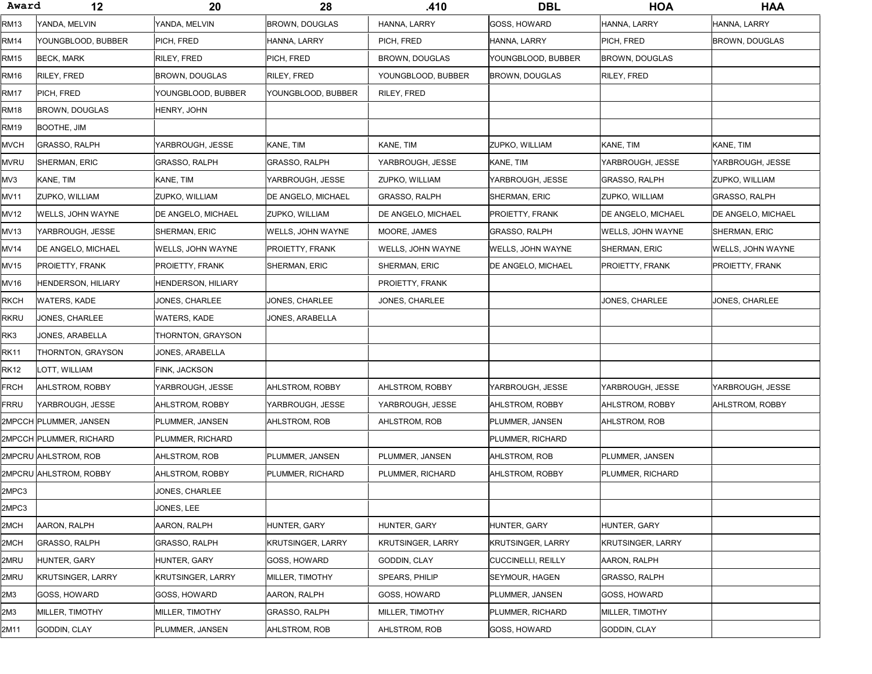| Award | 12                        | 20                        | 28                    | .410                     | <b>DBL</b>                | <b>HOA</b>            | <b>HAA</b>           |
|-------|---------------------------|---------------------------|-----------------------|--------------------------|---------------------------|-----------------------|----------------------|
| RM13  | YANDA, MELVIN             | YANDA, MELVIN             | <b>BROWN, DOUGLAS</b> | HANNA, LARRY             | GOSS, HOWARD              | HANNA, LARRY          | HANNA, LARRY         |
| RM14  | YOUNGBLOOD, BUBBER        | PICH, FRED                | HANNA, LARRY          | PICH, FRED               | HANNA, LARRY              | PICH, FRED            | BROWN, DOUGLAS       |
| RM15  | BECK, MARK                | RILEY, FRED               | PICH, FRED            | BROWN, DOUGLAS           | YOUNGBLOOD, BUBBER        | BROWN, DOUGLAS        |                      |
| RM16  | RILEY, FRED               | BROWN, DOUGLAS            | RILEY, FRED           | YOUNGBLOOD, BUBBER       | <b>BROWN, DOUGLAS</b>     | RILEY, FRED           |                      |
| RM17  | PICH, FRED                | YOUNGBLOOD, BUBBER        | YOUNGBLOOD, BUBBER    | RILEY, FRED              |                           |                       |                      |
| RM18  | <b>BROWN, DOUGLAS</b>     | HENRY, JOHN               |                       |                          |                           |                       |                      |
| RM19  | BOOTHE, JIM               |                           |                       |                          |                           |                       |                      |
| MVCH  | <b>GRASSO, RALPH</b>      | YARBROUGH, JESSE          | KANE, TIM             | KANE, TIM                | ZUPKO, WILLIAM            | KANE, TIM             | KANE, TIM            |
| mvru  | SHERMAN, ERIC             | GRASSO, RALPH             | <b>GRASSO, RALPH</b>  | YARBROUGH, JESSE         | KANE, TIM                 | YARBROUGH, JESSE      | YARBROUGH, JESSE     |
| MV3   | KANE, TIM                 | KANE, TIM                 | YARBROUGH, JESSE      | ZUPKO, WILLIAM           | YARBROUGH, JESSE          | GRASSO, RALPH         | ZUPKO, WILLIAM       |
| MV11  | ZUPKO, WILLIAM            | ZUPKO, WILLIAM            | DE ANGELO, MICHAEL    | <b>GRASSO, RALPH</b>     | <b>SHERMAN, ERIC</b>      | <b>ZUPKO, WILLIAM</b> | <b>GRASSO, RALPH</b> |
| MV12  | WELLS, JOHN WAYNE         | DE ANGELO. MICHAEL        | <b>ZUPKO, WILLIAM</b> | DE ANGELO. MICHAEL       | <b>PROIETTY, FRANK</b>    | DE ANGELO, MICHAEL    | DE ANGELO, MICHAEL   |
| MV13  | YARBROUGH, JESSE          | SHERMAN, ERIC             | WELLS, JOHN WAYNE     | MOORE, JAMES             | GRASSO, RALPH             | WELLS. JOHN WAYNE     | SHERMAN, ERIC        |
| MV14  | DE ANGELO, MICHAEL        | WELLS, JOHN WAYNE         | PROIETTY, FRANK       | WELLS, JOHN WAYNE        | WELLS, JOHN WAYNE         | SHERMAN, ERIC         | WELLS, JOHN WAYNE    |
| MV15  | <b>PROIETTY, FRANK</b>    | PROIETTY, FRANK           | <b>SHERMAN, ERIC</b>  | SHERMAN, ERIC            | DE ANGELO, MICHAEL        | PROIETTY, FRANK       | PROIETTY, FRANK      |
| MV16  | <b>HENDERSON, HILIARY</b> | <b>HENDERSON, HILIARY</b> |                       | PROIETTY, FRANK          |                           |                       |                      |
| RKCH  | WATERS, KADE              | JONES, CHARLEE            | JONES, CHARLEE        | JONES, CHARLEE           |                           | JONES, CHARLEE        | JONES, CHARLEE       |
| RKRU  | JONES, CHARLEE            | WATERS, KADE              | JONES, ARABELLA       |                          |                           |                       |                      |
| RK3   | JONES, ARABELLA           | THORNTON, GRAYSON         |                       |                          |                           |                       |                      |
| RK11  | THORNTON, GRAYSON         | JONES, ARABELLA           |                       |                          |                           |                       |                      |
| RK12  | LOTT, WILLIAM             | FINK, JACKSON             |                       |                          |                           |                       |                      |
| FRCH  | AHLSTROM, ROBBY           | YARBROUGH, JESSE          | AHLSTROM, ROBBY       | AHLSTROM, ROBBY          | YARBROUGH, JESSE          | YARBROUGH, JESSE      | YARBROUGH, JESSE     |
| FRRU  | YARBROUGH, JESSE          | AHLSTROM, ROBBY           | YARBROUGH, JESSE      | YARBROUGH, JESSE         | AHLSTROM, ROBBY           | AHLSTROM, ROBBY       | AHLSTROM, ROBBY      |
|       | 2MPCCH PLUMMER, JANSEN    | PLUMMER, JANSEN           | AHLSTROM, ROB         | AHLSTROM, ROB            | PLUMMER, JANSEN           | AHLSTROM, ROB         |                      |
|       | 2MPCCH PLUMMER, RICHARD   | PLUMMER, RICHARD          |                       |                          | PLUMMER, RICHARD          |                       |                      |
|       | 2MPCRU AHLSTROM, ROB      | AHLSTROM, ROB             | PLUMMER, JANSEN       | PLUMMER, JANSEN          | AHLSTROM, ROB             | PLUMMER, JANSEN       |                      |
|       | 2MPCRU AHLSTROM, ROBBY    | AHLSTROM, ROBBY           | PLUMMER, RICHARD      | PLUMMER, RICHARD         | AHLSTROM, ROBBY           | PLUMMER, RICHARD      |                      |
| 2MPC3 |                           | JONES, CHARLEE            |                       |                          |                           |                       |                      |
| 2MPC3 |                           | JONES, LEE                |                       |                          |                           |                       |                      |
| 2MCH  | AARON, RALPH              | AARON, RALPH              | HUNTER, GARY          | HUNTER, GARY             | HUNTER, GARY              | HUNTER, GARY          |                      |
| 2MCH  | <b>GRASSO, RALPH</b>      | <b>GRASSO, RALPH</b>      | KRUTSINGER, LARRY     | <b>KRUTSINGER, LARRY</b> | <b>KRUTSINGER, LARRY</b>  | KRUTSINGER, LARRY     |                      |
| 2MRU  | HUNTER, GARY              | HUNTER, GARY              | <b>GOSS, HOWARD</b>   | GODDIN, CLAY             | <b>CUCCINELLI, REILLY</b> | AARON, RALPH          |                      |
| 2MRU  | KRUTSINGER, LARRY         | KRUTSINGER, LARRY         | MILLER, TIMOTHY       | <b>SPEARS, PHILIP</b>    | SEYMOUR, HAGEN            | GRASSO, RALPH         |                      |
| 2M3   | GOSS, HOWARD              | GOSS, HOWARD              | AARON, RALPH          | GOSS, HOWARD             | PLUMMER, JANSEN           | GOSS, HOWARD          |                      |
| 2M3   | MILLER, TIMOTHY           | MILLER, TIMOTHY           | GRASSO, RALPH         | MILLER, TIMOTHY          | PLUMMER, RICHARD          | MILLER, TIMOTHY       |                      |
| 2M11  | GODDIN, CLAY              | PLUMMER, JANSEN           | AHLSTROM, ROB         | AHLSTROM, ROB            | GOSS, HOWARD              | GODDIN, CLAY          |                      |